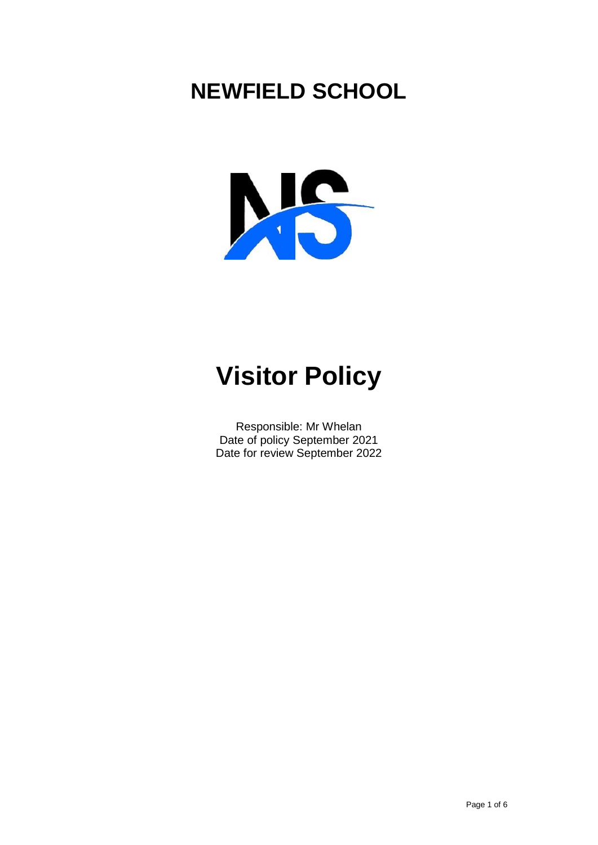# **NEWFIELD SCHOOL**



# **Visitor Policy**

Responsible: Mr Whelan Date of policy September 2021 Date for review September 2022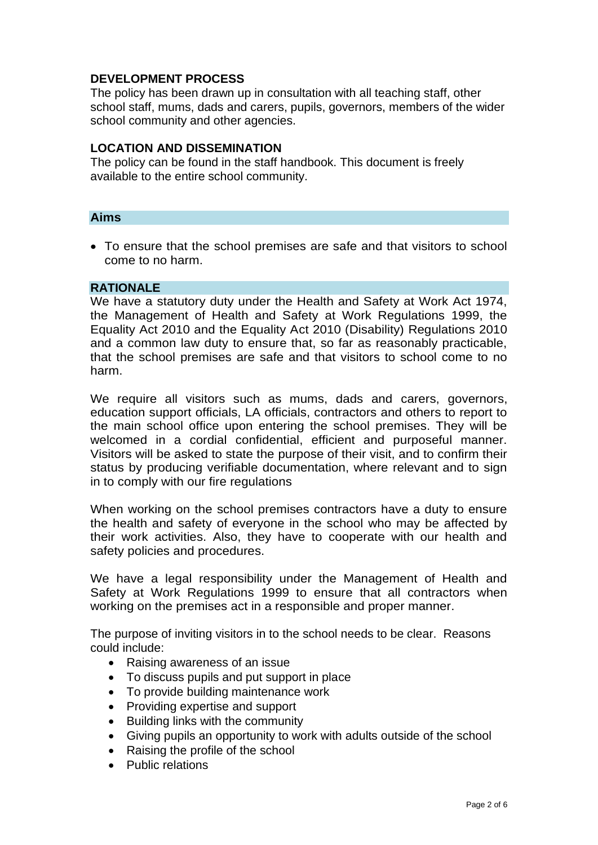# **DEVELOPMENT PROCESS**

The policy has been drawn up in consultation with all teaching staff, other school staff, mums, dads and carers, pupils, governors, members of the wider school community and other agencies.

# **LOCATION AND DISSEMINATION**

The policy can be found in the staff handbook. This document is freely available to the entire school community.

#### **Aims**

 To ensure that the school premises are safe and that visitors to school come to no harm.

## **RATIONALE**

We have a statutory duty under the Health and Safety at Work Act 1974, the Management of Health and Safety at Work Regulations 1999, the Equality Act 2010 and the Equality Act 2010 (Disability) Regulations 2010 and a common law duty to ensure that, so far as reasonably practicable, that the school premises are safe and that visitors to school come to no harm.

We require all visitors such as mums, dads and carers, governors, education support officials, LA officials, contractors and others to report to the main school office upon entering the school premises. They will be welcomed in a cordial confidential, efficient and purposeful manner. Visitors will be asked to state the purpose of their visit, and to confirm their status by producing verifiable documentation, where relevant and to sign in to comply with our fire regulations

When working on the school premises contractors have a duty to ensure the health and safety of everyone in the school who may be affected by their work activities. Also, they have to cooperate with our health and safety policies and procedures.

We have a legal responsibility under the Management of Health and Safety at Work Regulations 1999 to ensure that all contractors when working on the premises act in a responsible and proper manner.

The purpose of inviting visitors in to the school needs to be clear. Reasons could include:

- Raising awareness of an issue
- To discuss pupils and put support in place
- To provide building maintenance work
- Providing expertise and support
- Building links with the community
- Giving pupils an opportunity to work with adults outside of the school
- Raising the profile of the school
- **•** Public relations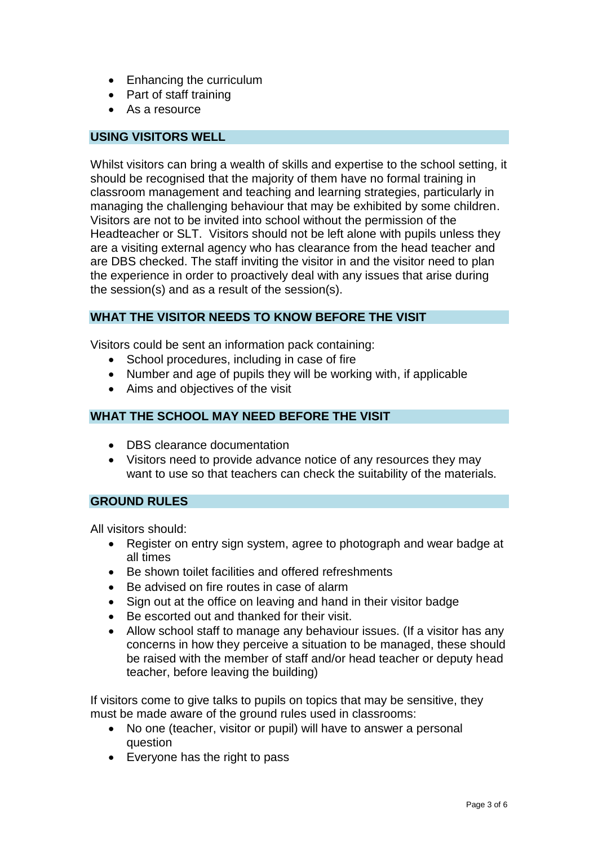- Enhancing the curriculum
- Part of staff training
- As a resource

# **USING VISITORS WELL**

Whilst visitors can bring a wealth of skills and expertise to the school setting, it should be recognised that the majority of them have no formal training in classroom management and teaching and learning strategies, particularly in managing the challenging behaviour that may be exhibited by some children. Visitors are not to be invited into school without the permission of the Headteacher or SLT. Visitors should not be left alone with pupils unless they are a visiting external agency who has clearance from the head teacher and are DBS checked. The staff inviting the visitor in and the visitor need to plan the experience in order to proactively deal with any issues that arise during the session(s) and as a result of the session(s).

# **WHAT THE VISITOR NEEDS TO KNOW BEFORE THE VISIT**

Visitors could be sent an information pack containing:

- School procedures, including in case of fire
- Number and age of pupils they will be working with, if applicable
- Aims and objectives of the visit

# **WHAT THE SCHOOL MAY NEED BEFORE THE VISIT**

- DBS clearance documentation
- Visitors need to provide advance notice of any resources they may want to use so that teachers can check the suitability of the materials.

#### **GROUND RULES**

All visitors should:

- Register on entry sign system, agree to photograph and wear badge at all times
- Be shown toilet facilities and offered refreshments
- Be advised on fire routes in case of alarm
- Sign out at the office on leaving and hand in their visitor badge
- Be escorted out and thanked for their visit.
- Allow school staff to manage any behaviour issues. (If a visitor has any concerns in how they perceive a situation to be managed, these should be raised with the member of staff and/or head teacher or deputy head teacher, before leaving the building)

If visitors come to give talks to pupils on topics that may be sensitive, they must be made aware of the ground rules used in classrooms:

- No one (teacher, visitor or pupil) will have to answer a personal question
- Everyone has the right to pass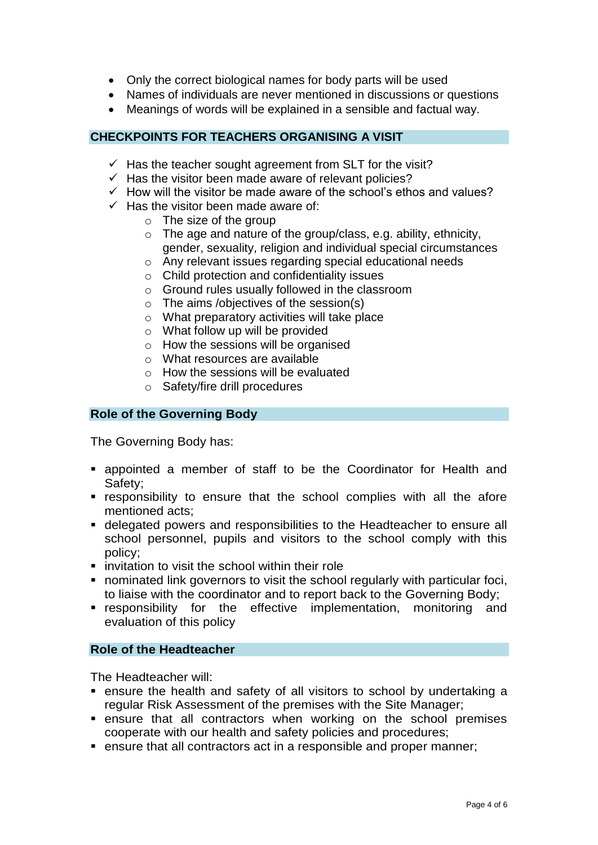- Only the correct biological names for body parts will be used
- Names of individuals are never mentioned in discussions or questions
- Meanings of words will be explained in a sensible and factual way.

# **CHECKPOINTS FOR TEACHERS ORGANISING A VISIT**

- $\checkmark$  Has the teacher sought agreement from SLT for the visit?
- $\checkmark$  Has the visitor been made aware of relevant policies?
- $\checkmark$  How will the visitor be made aware of the school's ethos and values?
- $\checkmark$  Has the visitor been made aware of:
	- $\circ$  The size of the group
	- $\circ$  The age and nature of the group/class, e.g. ability, ethnicity, gender, sexuality, religion and individual special circumstances
	- o Any relevant issues regarding special educational needs
	- o Child protection and confidentiality issues
	- o Ground rules usually followed in the classroom
	- o The aims /objectives of the session(s)
	- o What preparatory activities will take place
	- o What follow up will be provided
	- o How the sessions will be organised
	- o What resources are available
	- o How the sessions will be evaluated
	- o Safety/fire drill procedures

#### **Role of the Governing Body**

The Governing Body has:

- appointed a member of staff to be the Coordinator for Health and Safety;
- responsibility to ensure that the school complies with all the afore mentioned acts;
- delegated powers and responsibilities to the Headteacher to ensure all school personnel, pupils and visitors to the school comply with this policy;
- $\blacksquare$  invitation to visit the school within their role
- nominated link governors to visit the school regularly with particular foci, to liaise with the coordinator and to report back to the Governing Body;
- **EX EXEDERIGHT FOR THE EFFECTIVE Implementation, monitoring and** evaluation of this policy

#### **Role of the Headteacher**

The Headteacher will:

- ensure the health and safety of all visitors to school by undertaking a regular Risk Assessment of the premises with the Site Manager;
- ensure that all contractors when working on the school premises cooperate with our health and safety policies and procedures;
- **EX EXE** ensure that all contractors act in a responsible and proper manner;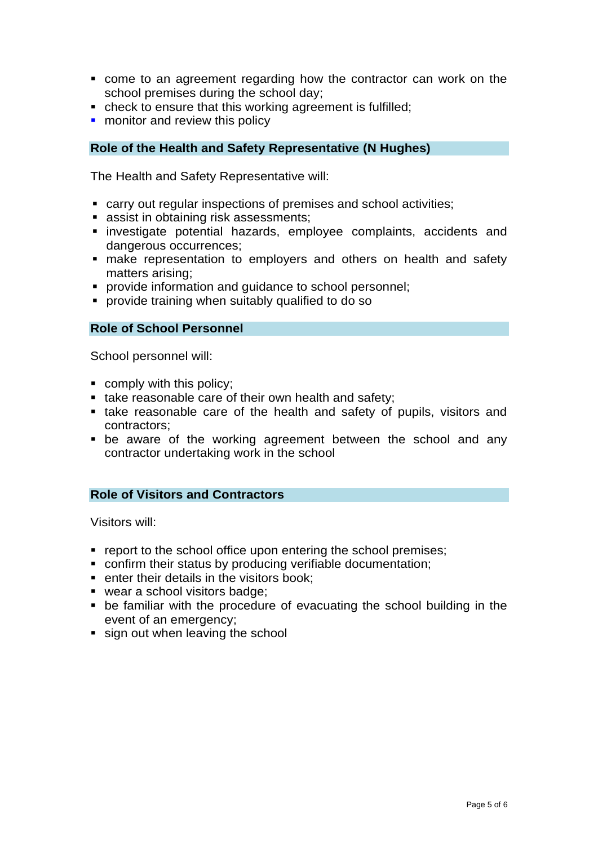- come to an agreement regarding how the contractor can work on the school premises during the school day;
- check to ensure that this working agreement is fulfilled;
- **n** monitor and review this policy

## **Role of the Health and Safety Representative (N Hughes)**

The Health and Safety Representative will:

- carry out regular inspections of premises and school activities;
- **assist in obtaining risk assessments;**
- investigate potential hazards, employee complaints, accidents and dangerous occurrences;
- make representation to employers and others on health and safety matters arising;
- **PEDECITE:** provide information and quidance to school personnel;
- provide training when suitably qualified to do so

#### **Role of School Personnel**

School personnel will:

- **comply with this policy;**
- take reasonable care of their own health and safety;
- take reasonable care of the health and safety of pupils, visitors and contractors;
- be aware of the working agreement between the school and any contractor undertaking work in the school

#### **Role of Visitors and Contractors**

Visitors will:

- **•** report to the school office upon entering the school premises;
- confirm their status by producing verifiable documentation;
- **EXECUTE:** enter their details in the visitors book:
- wear a school visitors badge:
- be familiar with the procedure of evacuating the school building in the event of an emergency;
- sign out when leaving the school